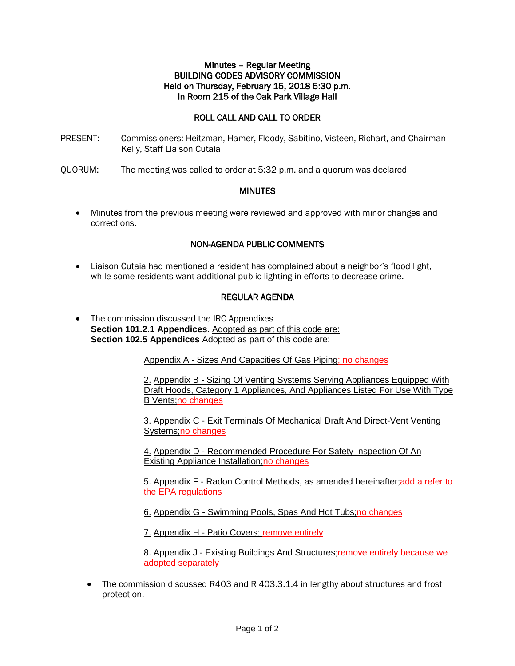## Minutes – Regular Meeting BUILDING CODES ADVISORY COMMISSION Held on Thursday, February 15, 2018 5:30 p.m. In Room 215 of the Oak Park Village Hall

# ROLL CALL AND CALL TO ORDER

- PRESENT: Commissioners: Heitzman, Hamer, Floody, Sabitino, Visteen, Richart, and Chairman Kelly, Staff Liaison Cutaia
- QUORUM: The meeting was called to order at 5:32 p.m. and a quorum was declared

## **MINUTES**

• Minutes from the previous meeting were reviewed and approved with minor changes and corrections.

# NON-AGENDA PUBLIC COMMENTS

• Liaison Cutaia had mentioned a resident has complained about a neighbor's flood light, while some residents want additional public lighting in efforts to decrease crime.

## REGULAR AGENDA

• The commission discussed the IRC Appendixes **Section 101.2.1 Appendices.** Adopted as part of this code are: **Section 102.5 Appendices** Adopted as part of this code are:

Appendix A - Sizes And Capacities Of Gas Piping; no changes

2. Appendix B - Sizing Of Venting Systems Serving Appliances Equipped With Draft Hoods, Category 1 Appliances, And Appliances Listed For Use With Type B Vents;no changes

3. Appendix C - Exit Terminals Of Mechanical Draft And Direct-Vent Venting Systems;no changes

4. Appendix D - Recommended Procedure For Safety Inspection Of An Existing Appliance Installation;no changes

5. Appendix F - Radon Control Methods, as amended hereinafter;add a refer to the EPA regulations

6. Appendix G - Swimming Pools, Spas And Hot Tubs;no changes

7. Appendix H - Patio Covers; remove entirely

8. Appendix J - Existing Buildings And Structures; remove entirely because we adopted separately

• The commission discussed R403 and R 403.3.1.4 in lengthy about structures and frost protection.